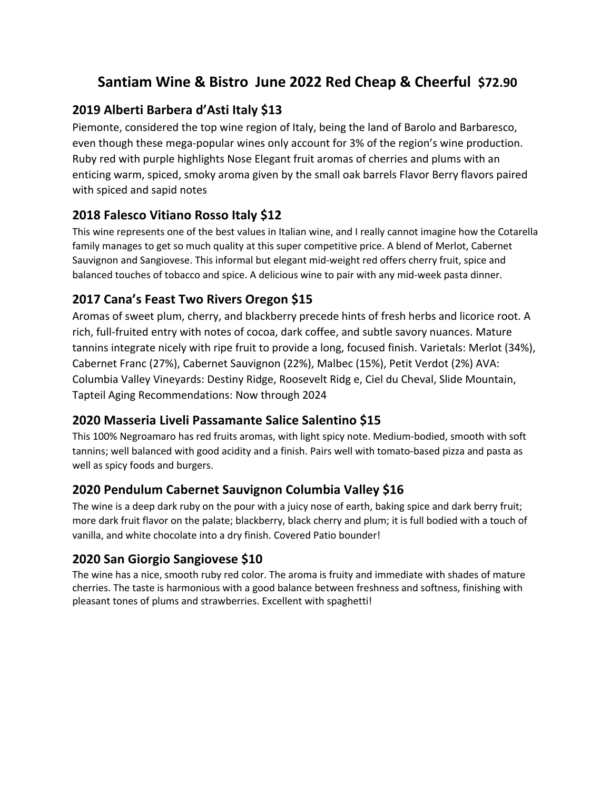# **Santiam Wine & Bistro June 2022 Red Cheap & Cheerful \$72.90**

### **2019 Alberti Barbera d'Asti Italy \$13**

Piemonte, considered the top wine region of Italy, being the land of Barolo and Barbaresco, even though these mega-popular wines only account for 3% of the region's wine production. Ruby red with purple highlights Nose Elegant fruit aromas of cherries and plums with an enticing warm, spiced, smoky aroma given by the small oak barrels Flavor Berry flavors paired with spiced and sapid notes

# **2018 Falesco Vitiano Rosso Italy \$12**

This wine represents one of the best values in Italian wine, and I really cannot imagine how the Cotarella family manages to get so much quality at this super competitive price. A blend of Merlot, Cabernet Sauvignon and Sangiovese. This informal but elegant mid-weight red offers cherry fruit, spice and balanced touches of tobacco and spice. A delicious wine to pair with any mid-week pasta dinner.

### **2017 Cana's Feast Two Rivers Oregon \$15**

Aromas of sweet plum, cherry, and blackberry precede hints of fresh herbs and licorice root. A rich, full-fruited entry with notes of cocoa, dark coffee, and subtle savory nuances. Mature tannins integrate nicely with ripe fruit to provide a long, focused finish. Varietals: Merlot (34%), Cabernet Franc (27%), Cabernet Sauvignon (22%), Malbec (15%), Petit Verdot (2%) AVA: Columbia Valley Vineyards: Destiny Ridge, Roosevelt Ridg e, Ciel du Cheval, Slide Mountain, Tapteil Aging Recommendations: Now through 2024

# **2020 Masseria Liveli Passamante Salice Salentino \$15**

This 100% Negroamaro has red fruits aromas, with light spicy note. Medium-bodied, smooth with soft tannins; well balanced with good acidity and a finish. Pairs well with tomato-based pizza and pasta as well as spicy foods and burgers.

#### **2020 Pendulum Cabernet Sauvignon Columbia Valley \$16**

The wine is a deep dark ruby on the pour with a juicy nose of earth, baking spice and dark berry fruit; more dark fruit flavor on the palate; blackberry, black cherry and plum; it is full bodied with a touch of vanilla, and white chocolate into a dry finish. Covered Patio bounder!

# **2020 San Giorgio Sangiovese \$10**

The wine has a nice, smooth ruby red color. The aroma is fruity and immediate with shades of mature cherries. The taste is harmonious with a good balance between freshness and softness, finishing with pleasant tones of plums and strawberries. Excellent with spaghetti!